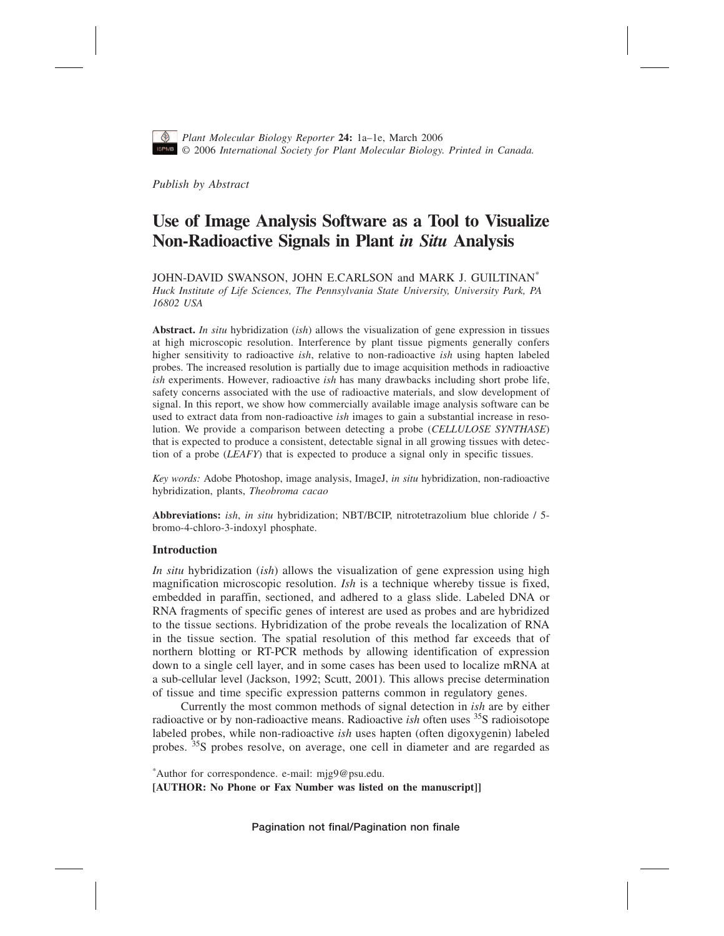

*Plant Molecular Biology Reporter* **24:** 1a–1[e,](#page-4-0) March 2006 © 2006 *International Society for Plant Molecular Biology. Printed in Canada.*

*Publish by Abstract*

# **Use of Image Analysis Software as a Tool to Visualize Non-Radioactive Signals in Plant** *in Situ* **Analysis**

JOHN-DAVID SWANSON, JOHN E.CARLSON and MARK J. GUILTINAN\* *Huck Institute of Life Sciences, The Pennsylvania State University, University Park, PA 16802 USA*

**Abstract.** *In situ* hybridization (*ish*) allows the visualization of gene expression in tissues at high microscopic resolution. Interference by plant tissue pigments generally confers higher sensitivity to radioactive *ish*, relative to non-radioactive *ish* using hapten labeled probes. The increased resolution is partially due to image acquisition methods in radioactive *ish* experiments. However, radioactive *ish* has many drawbacks including short probe life, safety concerns associated with the use of radioactive materials, and slow development of signal. In this report, we show how commercially available image analysis software can be used to extract data from non-radioactive *ish* images to gain a substantial increase in resolution. We provide a comparison between detecting a probe (*CELLULOSE SYNTHASE*) that is expected to produce a consistent, detectable signal in all growing tissues with detection of a probe (*LEAFY*) that is expected to produce a signal only in specific tissues.

*Key words:* Adobe Photoshop, image analysis, ImageJ, *in situ* hybridization, non-radioactive hybridization, plants, *Theobroma cacao*

**Abbreviations:** *ish*, *in situ* hybridization; NBT/BCIP, nitrotetrazolium blue chloride / 5 bromo-4-chloro-3-indoxyl phosphate.

# **Introduction**

*In situ* hybridization (*ish*) allows the visualization of gene expression using high magnification microscopic resolution. *Ish* is a technique whereby tissue is fixed, embedded in paraffin, sectioned, and adhered to a glass slide. Labeled DNA or RNA fragments of specific genes of interest are used as probes and are hybridized to the tissue sections. Hybridization of the probe reveals the localization of RNA in the tissue section. The spatial resolution of this method far exceeds that of northern blotting or RT-PCR methods by allowing identification of expression down to a single cell layer, and in some cases has been used to localize mRNA at a sub-cellular level (Jackson, 1992; Scutt, 2001). This allows precise determination of tissue and time specific expression patterns common in regulatory genes.

Currently the most common methods of signal detection in *ish* are by either radioactive or by non-radioactive means. Radioactive *ish* often uses 35S radioisotope labeled probes, while non-radioactive *ish* uses hapten (often digoxygenin) labeled probes. 35S probes resolve, on average, one cell in diameter and are regarded as

\* Author for correspondence. e-mail: mjg9@psu.edu. **[AUTHOR: No Phone or Fax Number was listed on the manuscript]]**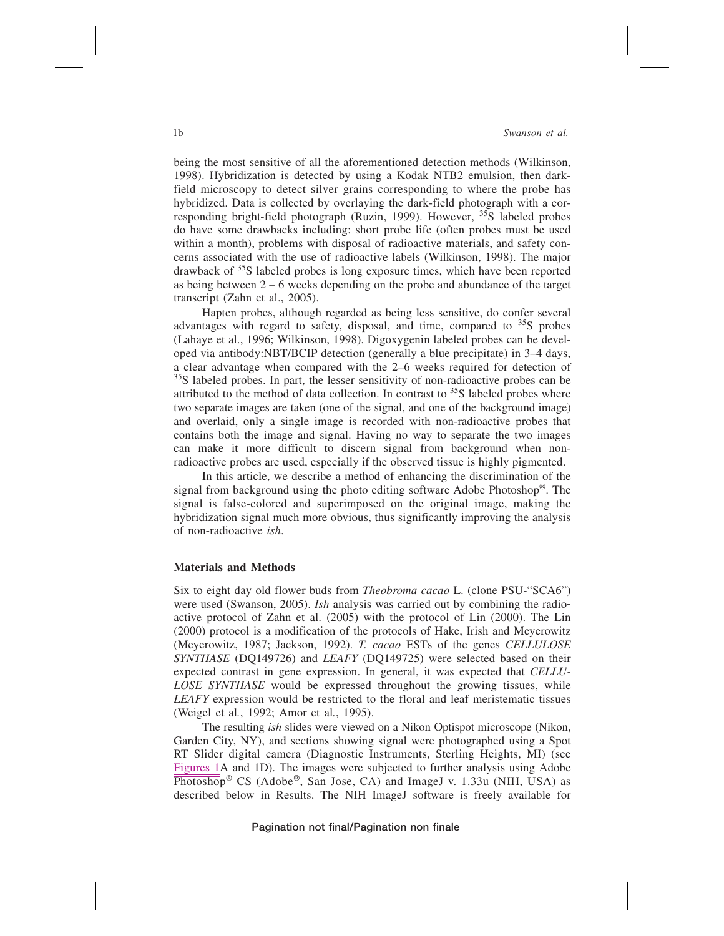### 1b *Swanson et al.*

being the most sensitive of all the aforementioned detection methods (Wilkinson, 1998). Hybridization is detected by using a Kodak NTB2 emulsion, then darkfield microscopy to detect silver grains corresponding to where the probe has hybridized. Data is collected by overlaying the dark-field photograph with a corresponding bright-field photograph (Ruzin, 1999). However, <sup>35</sup>S labeled probes do have some drawbacks including: short probe life (often probes must be used within a month), problems with disposal of radioactive materials, and safety concerns associated with the use of radioactive labels (Wilkinson, 1998). The major drawback of  $35S$  labeled probes is long exposure times, which have been reported as being between  $2-6$  weeks depending on the probe and abundance of the target transcript (Zahn et al., 2005).

Hapten probes, although regarded as being less sensitive, do confer several advantages with regard to safety, disposal, and time, compared to  $35S$  probes (Lahaye et al., 1996; Wilkinson, 1998). Digoxygenin labeled probes can be developed via antibody:NBT/BCIP detection (generally a blue precipitate) in 3–4 days, a clear advantage when compared with the 2–6 weeks required for detection of <sup>35</sup>S labeled probes. In part, the lesser sensitivity of non-radioactive probes can be attributed to the method of data collection. In contrast to  $35S$  labeled probes where two separate images are taken (one of the signal, and one of the background image) and overlaid, only a single image is recorded with non-radioactive probes that contains both the image and signal. Having no way to separate the two images can make it more difficult to discern signal from background when nonradioactive probes are used, especially if the observed tissue is highly pigmented.

In this article, we describe a method of enhancing the discrimination of the signal from background using the photo editing software Adobe Photoshop®. The signal is false-colored and superimposed on the original image, making the hybridization signal much more obvious, thus significantly improving the analysis of non-radioactive *ish*.

# **Materials and Methods**

Six to eight day old flower buds from *Theobroma cacao* L. (clone PSU-"SCA6") were used (Swanson, 2005). *Ish* analysis was carried out by combining the radioactive protocol of Zahn et al. (2005) with the protocol of Lin (2000). The Lin (2000) protocol is a modification of the protocols of Hake, Irish and Meyerowitz (Meyerowitz, 1987; Jackson, 1992). *T. cacao* ESTs of the genes *CELLULOSE SYNTHASE* (DQ149726) and *LEAFY* (DQ149725) were selected based on their expected contrast in gene expression. In general, it was expected that *CELLU-LOSE SYNTHASE* would be expressed throughout the growing tissues, while *LEAFY* expression would be restricted to the floral and leaf meristematic tissues (Weigel et al*.*, 1992; Amor et al*.*, 1995).

The resulting *ish* slides were viewed on a Nikon Optispot microscope (Nikon, Garden City, NY), and sections showing signal were photographed using a Spot RT Slider digital camera (Diagnostic Instruments, Sterling Heights, MI) (see Figures 1A and 1D). The images were subjected to further analysis using Adobe  $\overline{\text{Photoshop}}^{\textcircled{\tiny{\text{B}}}}$  CS (Adobe<sup>®</sup>, San Jose, CA) and ImageJ v. 1.33u (NIH, USA) as described below in Results. The NIH ImageJ software is freely available for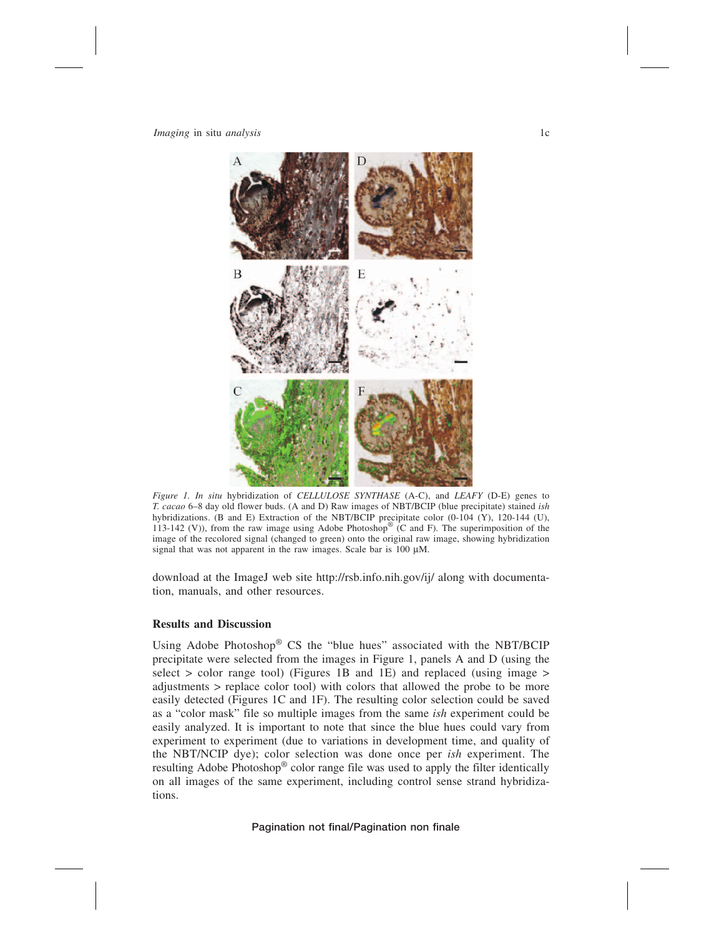*Imaging* in situ *analysis* 1c



*Figure 1. In situ* hybridization of *CELLULOSE SYNTHASE* (A-C), and *LEAFY* (D-E) genes to *T. cacao* 6–8 day old flower buds. (A and D) Raw images of NBT/BCIP (blue precipitate) stained *ish* hybridizations. (B and E) Extraction of the NBT/BCIP precipitate color (0-104 (Y), 120-144 (U), 113-142 (V)), from the raw image using Adobe Photoshop® (C and F). The superimposition of the image of the recolored signal (changed to green) onto the original raw image, showing hybridization signal that was not apparent in the raw images. Scale bar is  $100 \mu M$ .

download at the ImageJ web site http://rsb.info.nih.gov/ij/ along with documentation, manuals, and other resources.

# **Results and Discussion**

Using Adobe Photoshop® CS the "blue hues" associated with the NBT/BCIP precipitate were selected from the images in Figure 1, panels A and D (using the select  $>$  color range tool) (Figures 1B and 1E) and replaced (using image  $>$ adjustments > replace color tool) with colors that allowed the probe to be more easily detected (Figures 1C and 1F). The resulting color selection could be saved as a "color mask" file so multiple images from the same *ish* experiment could be easily analyzed. It is important to note that since the blue hues could vary from experiment to experiment (due to variations in development time, and quality of the NBT/NCIP dye); color selection was done once per *ish* experiment. The resulting Adobe Photoshop® color range file was used to apply the filter identically on all images of the same experiment, including control sense strand hybridizations.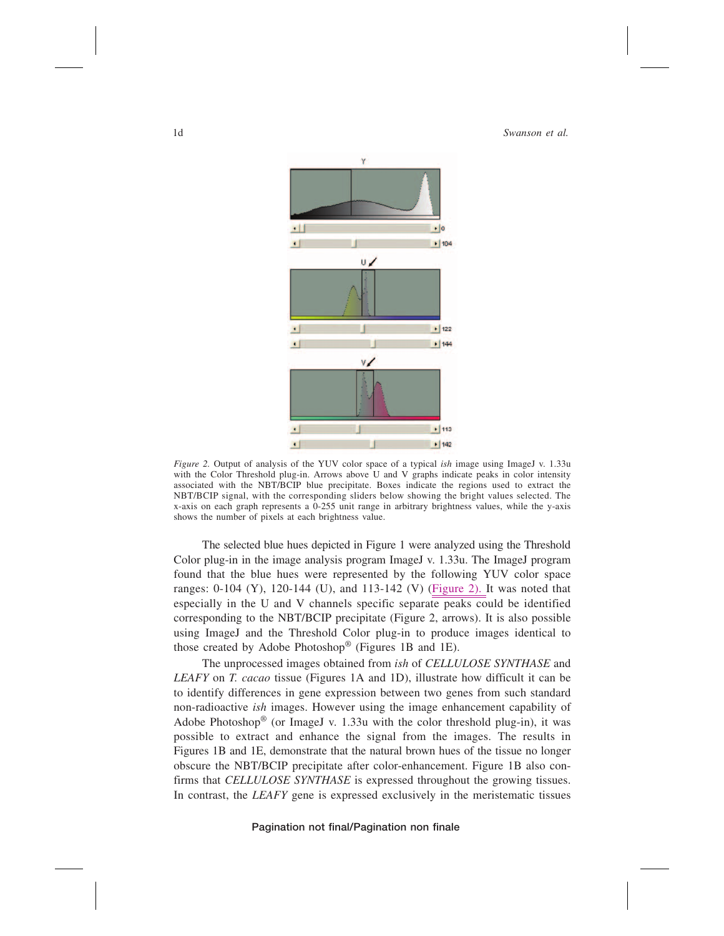

*Figure 2.* Output of analysis of the YUV color space of a typical *ish* image using ImageJ v. 1.33u with the Color Threshold plug-in. Arrows above U and V graphs indicate peaks in color intensity associated with the NBT/BCIP blue precipitate. Boxes indicate the regions used to extract the NBT/BCIP signal, with the corresponding sliders below showing the bright values selected. The x-axis on each graph represents a 0-255 unit range in arbitrary brightness values, while the y-axis shows the number of pixels at each brightness value.

The selected blue hues depicted in Figure 1 were analyzed using the Threshold Color plug-in in the image analysis program ImageJ v. 1.33u. The ImageJ program found that the blue hues were represented by the following YUV color space ranges: 0-104 (Y), 120-144 (U), and 113-142 (V) (Figure 2). It was noted that especially in the U and V channels specific separate peaks could be identified corresponding to the NBT/BCIP precipitate (Figure 2, arrows). It is also possible using ImageJ and the Threshold Color plug-in to produce images identical to those created by Adobe Photoshop® (Figures 1B and 1E).

The unprocessed images obtained from *ish* of *CELLULOSE SYNTHASE* and *LEAFY* on *T. cacao* tissue (Figures 1A and 1D), illustrate how difficult it can be to identify differences in gene expression between two genes from such standard non-radioactive *ish* images. However using the image enhancement capability of Adobe Photoshop<sup>®</sup> (or ImageJ v. 1.33u with the color threshold plug-in), it was possible to extract and enhance the signal from the images. The results in Figures 1B and 1E, demonstrate that the natural brown hues of the tissue no longer obscure the NBT/BCIP precipitate after color-enhancement. Figure 1B also confirms that *CELLULOSE SYNTHASE* is expressed throughout the growing tissues. In contrast, the *LEAFY* gene is expressed exclusively in the meristematic tissues